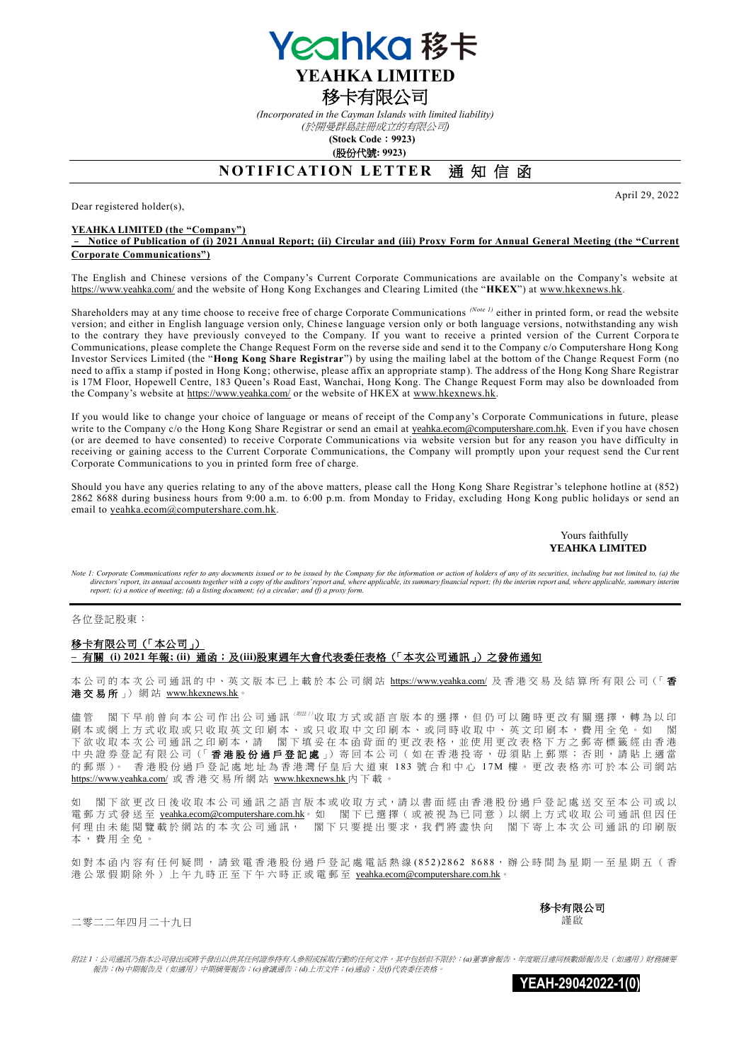*(Incorporated in the Cayman Islands with limited liability)* 

*(*於開曼群島註冊成立的有限公司*)*

**(Stock Code**:**9923) (**股份代號**: 9923)**

# **NOTIFICATION LETTER** 通知信函

Dear registered holder(s).

### **YEAHKA LIMITED (the "Company")**

– **Notice of Publication of (i) 2021 Annual Report; (ii) Circular and (iii) Proxy Form for Annual General Meeting (the "Current Corporate Communications")**

The English and Chinese versions of the Company's Current Corporate Communications are available on the Company's website at https://www.yeahka.com/ and the website of Hong Kong Exchanges and Clearing Limited (the "**HKEX**") at [www.hkexnews.hk.](http://www.hkexnews.hk/) 

Shareholders may at any time choose to receive free of charge Corporate Communications *(Note 1)* either in printed form, or read the website version; and either in English language version only, Chines e language version only or both language versions, notwithstanding any wish to the contrary they have previously conveyed to the Company. If you want to receive a printed version of the Current Corpora te Communications, please complete the Change Request Form on the reverse side and send it to the Company c/o Computershare Hong Kong Investor Services Limited (the "**Hong Kong Share Registrar**") by using the mailing label at the bottom of the Change Request Form (no need to affix a stamp if posted in Hong Kong; otherwise, please affix an appropriate stamp). The address of the Hong Kong Share Registrar is 17M Floor, Hopewell Centre, 183 Queen's Road East, Wanchai, Hong Kong. The Change Request Form may also be downloaded from the Company's website at https://www.yeahka.com/ or the website of HKEX at [www.hkexnews.hk.](http://www.hkexnews.hk/)

If you would like to change your choice of language or means of receipt of the Comp any's Corporate Communications in future, please write to the Company c/o the Hong Kong Share Registrar or send an email at [yeahka.ecom@computershare.com.hk.](mailto:yeahka.ecom@computershare.com.hk) Even if you have chosen (or are deemed to have consented) to receive Corporate Communications via website version but for any reason you have difficulty in receiving or gaining access to the Current Corporate Communications, the Company will promptly upon your request send the Cur rent Corporate Communications to you in printed form free of charge.

Should you have any queries relating to any of the above matters, please call the Hong Kong Share Registrar's telephone hotline at (852) 2862 8688 during business hours from 9:00 a.m. to 6:00 p.m. from Monday to Friday, excluding Hong Kong public holidays or send an email to yeahka.ecom@computershare.com.hk.

### Yours faithfully **YEAHKA LIMITED**

*Note 1: Corporate Communications refer to any documents issued or to be issued by the Company for the information or action of holders of any of its securities, including but not limited to, (a) the directors' report, its annual accounts together with a copy of the auditors' report and, where applicable, its summary financial report; (b) the interim report and, where applicable, summary interim report; (c) a notice of meeting; (d) a listing document; (e) a circular; and (f) a proxy form.*

#### 各位登記股東:

#### 移卡有限公司(「本公司」)

## **–** 有關 **(i) 2021** 年報**; (ii)** 通函;及**(iii)**股東週年大會代表委任表格(「本次公司通訊」)之發佈通知

本公司的本次公司通訊的中、英文版本已上載於本公司網站 https://www.yeahka.com/ 及香港交易及結算所有限公司(「香 港交易所 」) 網 站 [www.hkexnews.hk](http://www.hkexnews.hk/)。

儘 管 閣 下 早 前 曾 向 本 公 司 作 出 公 司 通 訊 (附註 <sup>1</sup>) 收 取 方 式 或 語 言 版 本 的 選 擇 , 但 仍 可 以 隨 時 更 改 有 關 選 擇 , 轉 為 以 印 刷本或網上方式收取或只收取英文印刷本、或只收取中文印刷本、或同時收取中、英文印刷本,費用全免。如 閣 第1个数的主义会、《《《〈〈〈〈〈〈〉〉〉》, 〈〈〈〈〉〉, 〈〈〈〉, 〈〈〈〉, 〈〈〈〉, 〈〈〈〉, 〈〈〈〉, 〈〈〈〉, 〈〈〈〉, 〈〈〈〉, 〈 中央證券登記有限公司(「香港股份過戶登記處 」寄回本公司(如在香港投寄,毋須貼上郵票;否則,請貼上適當 的郵票)。 香港股份過戶登記處地址為香港灣仔皇后大道東 183 號合和中心 17M 樓。更改表格亦可於本公司網站 <https://www.yeahka.com/> 或香港交易所網站 [www.hkexnews.hk](http://www.hkexnews.hk/) 內下載。

閣下 欲 更 改 日 後 收 取 本 公 司 通 訊 之 語 言 版 本 或 收 取 方 式 , 請 以 書 面 經 由 香 港 股 份 過 戶 登 記 處 送 交 至 本 公 司 或 以 電郵方式發送至 yeahka.ecom@computershare.com.hk。 如 閣下已選擇(或被視為已同意)以網上方式收取公司通訊但因任 何理由未能閱覽載於網站的本次公司通訊, 閣下只要提出要求,我們將盡快向 閣下寄上本次公司通訊的印刷版 本,費用全免。

如對本函內容有任何疑問,請致電香港股份過戶登記處電話熱線(852)2862 8688,辦公時間為星期一至星期五(香 港 公眾假期除外)上午 九 時 正 至 下 午 六 時 正 或 電 郵 至 yeahka.ecom@computershare.com.hk。

二零二二年四月二十九日

移卡有限公司 謹啟

附註 *1*:公司通訊乃指本公司發出或將予發出以供其任何證券持有人參照或採取行動的任何文件,其中包括但不限於:*(a)*董事會報告、年度賬目連同核數師報告及(如適用)財務摘要 報告;*(b)*中期報告及(如適用)中期摘要報告;*(c)*會議通告;*(d)*上市文件;*(e)*通函;及*(f)*代表委任表格。



April 29, 2022

Yeahka 移卡 **YEAHKA LIMITED** 移卡有限公司